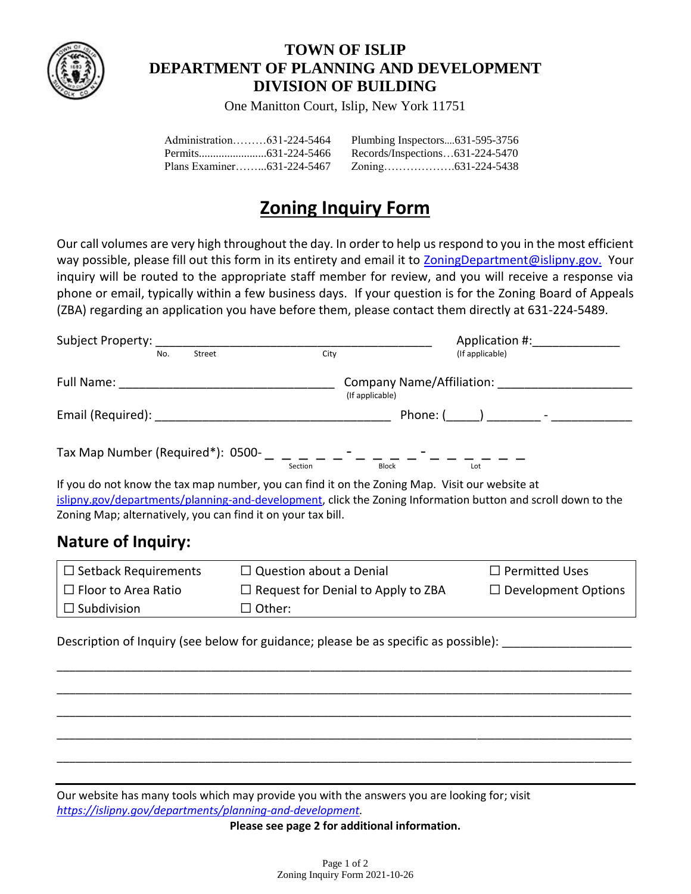

## **TOWN OF ISLIP DEPARTMENT OF PLANNING AND DEVELOPMENT DIVISION OF BUILDING**

One Manitton Court, Islip, New York 11751

| Administration631-224-5464 | Plumbing Inspectors631-595-3756 |  |
|----------------------------|---------------------------------|--|
|                            | Records/Inspections631-224-5470 |  |
|                            |                                 |  |

# **Zoning Inquiry Form**

Our call volumes are very high throughout the day. In order to help us respond to you in the most efficient way possible, please fill out this form in its entirety and email it to [ZoningDepartment@islipny.gov.](mailto:ZoningDepartment@islipny.gov) Your inquiry will be routed to the appropriate staff member for review, and you will receive a response via phone or email, typically within a few business days. If your question is for the Zoning Board of Appeals (ZBA) regarding an application you have before them, please contact them directly at 631-224-5489.

|                                                                                                                                                                |                                | Application #:                            |                                                                                                              |
|----------------------------------------------------------------------------------------------------------------------------------------------------------------|--------------------------------|-------------------------------------------|--------------------------------------------------------------------------------------------------------------|
| Street                                                                                                                                                         | City                           |                                           | (If applicable)                                                                                              |
|                                                                                                                                                                | (If applicable)                |                                           |                                                                                                              |
|                                                                                                                                                                |                                |                                           | Phone: (______) _________ - ____________                                                                     |
| Tax Map Number (Required*): 0500- _ _ _ _ _ _ - _ - _ _ _ _ - _ _ -                                                                                            | Section                        | Block                                     | Lot                                                                                                          |
| If you do not know the tax map number, you can find it on the Zoning Map. Visit our website at<br>Zoning Map; alternatively, you can find it on your tax bill. |                                |                                           | islipny.gov/departments/planning-and-development, click the Zoning Information button and scroll down to the |
| <b>Nature of Inquiry:</b>                                                                                                                                      |                                |                                           |                                                                                                              |
| $\Box$ Setback Requirements                                                                                                                                    | $\Box$ Question about a Denial |                                           | $\Box$ Permitted Uses                                                                                        |
| $\Box$ Floor to Area Ratio                                                                                                                                     |                                | $\Box$ Request for Denial to Apply to ZBA |                                                                                                              |
| $\Box$ Subdivision                                                                                                                                             | $\Box$ Other:                  |                                           |                                                                                                              |
|                                                                                                                                                                |                                |                                           | Description of Inquiry (see below for guidance; please be as specific as possible):                          |
|                                                                                                                                                                |                                |                                           |                                                                                                              |

Our website has many tools which may provide you with the answers you are looking for; visit *[https://islipny.gov/departments/planning-and-development.](https://islipny.gov/departments/planning-and-development)*

**Please see page 2 for additional information.**

\_\_\_\_\_\_\_\_\_\_\_\_\_\_\_\_\_\_\_\_\_\_\_\_\_\_\_\_\_\_\_\_\_\_\_\_\_\_\_\_\_\_\_\_\_\_\_\_\_\_\_\_\_\_\_\_\_\_\_\_\_\_\_\_\_\_\_\_\_\_\_\_\_\_\_\_\_\_\_\_\_\_\_\_\_\_\_\_\_\_\_\_\_

\_\_\_\_\_\_\_\_\_\_\_\_\_\_\_\_\_\_\_\_\_\_\_\_\_\_\_\_\_\_\_\_\_\_\_\_\_\_\_\_\_\_\_\_\_\_\_\_\_\_\_\_\_\_\_\_\_\_\_\_\_\_\_\_\_\_\_\_\_\_\_\_\_\_\_\_\_\_\_\_\_\_\_\_\_\_\_\_\_\_\_\_\_

\_\_\_\_\_\_\_\_\_\_\_\_\_\_\_\_\_\_\_\_\_\_\_\_\_\_\_\_\_\_\_\_\_\_\_\_\_\_\_\_\_\_\_\_\_\_\_\_\_\_\_\_\_\_\_\_\_\_\_\_\_\_\_\_\_\_\_\_\_\_\_\_\_\_\_\_\_\_\_\_\_\_\_\_\_\_\_\_\_\_\_\_\_